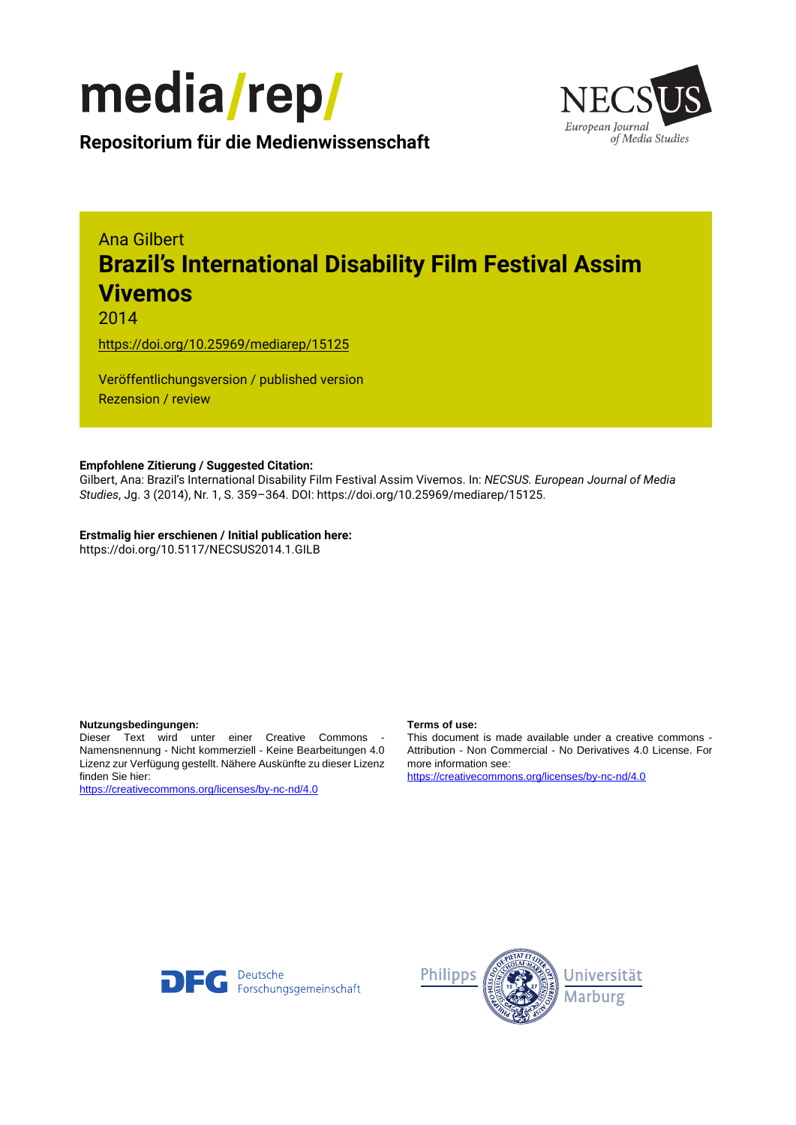



**Repositorium für die [Medienwissenschaft](https://mediarep.org)**

# Ana Gilbert **Brazil's International Disability Film Festival Assim Vivemos**

2014

<https://doi.org/10.25969/mediarep/15125>

Veröffentlichungsversion / published version Rezension / review

## **Empfohlene Zitierung / Suggested Citation:**

Gilbert, Ana: Brazil's International Disability Film Festival Assim Vivemos. In: *NECSUS. European Journal of Media Studies*, Jg. 3 (2014), Nr. 1, S. 359–364. DOI: https://doi.org/10.25969/mediarep/15125.

**Erstmalig hier erschienen / Initial publication here:** https://doi.org/10.5117/NECSUS2014.1.GILB

## **Nutzungsbedingungen: Terms of use:**

Dieser Text wird unter einer Creative Commons - Namensnennung - Nicht kommerziell - Keine Bearbeitungen 4.0 Lizenz zur Verfügung gestellt. Nähere Auskünfte zu dieser Lizenz finden Sie hier:

<https://creativecommons.org/licenses/by-nc-nd/4.0>

This document is made available under a creative commons - Attribution - Non Commercial - No Derivatives 4.0 License. For more information see:

<https://creativecommons.org/licenses/by-nc-nd/4.0>



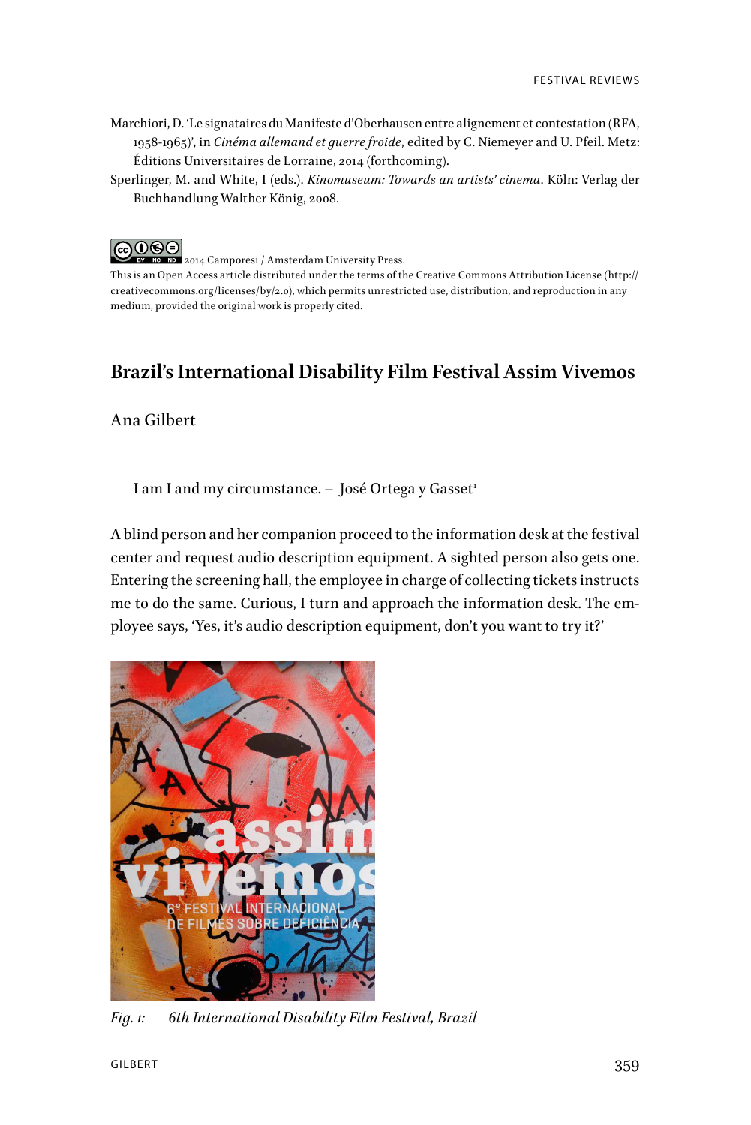- Marchiori, D. 'Le signataires du Manifeste d'Oberhausen entre alignement et contestation (RFA, 1958-1965)', in *Cinéma allemand et guerre froide*, edited by C. Niemeyer and U. Pfeil. Metz: Éditions Universitaires de Lorraine, 2014 (forthcoming).
- Sperlinger, M. and White, I (eds.). *Kinomuseum: Towards an artists' cinema*. Köln: Verlag der Buchhandlung Walther König, 2008.



2014 Camporesi / Amsterdam University Press.

This is an Open Access article distributed under the terms of the Creative Commons Attribution License (http:// creativecommons.org/licenses/by/2.0), which permits unrestricted use, distribution, and reproduction in any medium, provided the original work is properly cited.

## **Brazil's International Disability Film Festival Assim Vivemos**

Ana Gilbert

I am I and my circumstance. - José Ortega y Gasset<sup>1</sup>

A blind person and her companion proceed to the information desk at the festival center and request audio description equipment. A sighted person also gets one. Entering the screening hall, the employee in charge of collecting tickets instructs me to do the same. Curious, I turn and approach the information desk. The employee says, 'Yes, it's audio description equipment, don't you want to try it?'



*Fig. 1: 6th International Disability Film Festival, Brazil*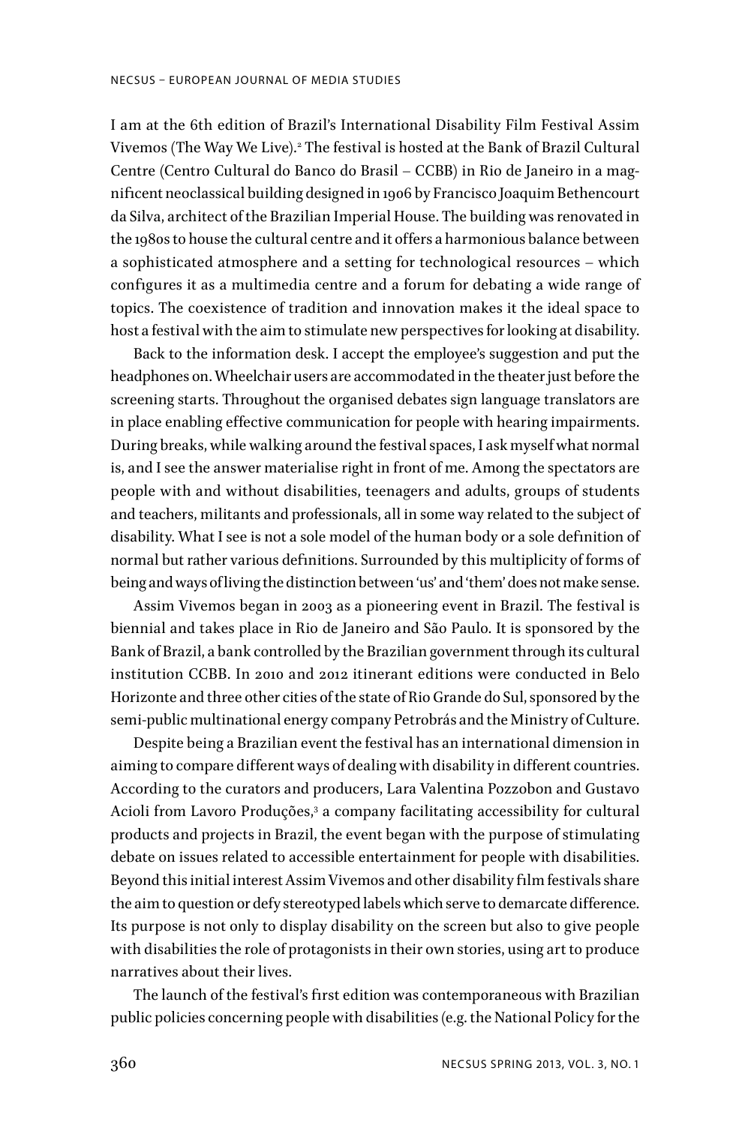I am at the 6th edition of Brazil's International Disability Film Festival Assim Vivemos (The Way We Live).<sup>2</sup> The festival is hosted at the Bank of Brazil Cultural Centre (Centro Cultural do Banco do Brasil – CCBB) in Rio de Janeiro in a magnificent neoclassical building designed in 1906 by Francisco Joaquim Bethencourt da Silva, architect of the Brazilian Imperial House. The building was renovated in the 1980s to house the cultural centre and it offers a harmonious balance between a sophisticated atmosphere and a setting for technological resources – which configures it as a multimedia centre and a forum for debating a wide range of topics. The coexistence of tradition and innovation makes it the ideal space to host a festival with the aim to stimulate new perspectives for looking at disability.

Back to the information desk. I accept the employee's suggestion and put the headphones on. Wheelchair users are accommodated in the theater just before the screening starts. Throughout the organised debates sign language translators are in place enabling effective communication for people with hearing impairments. During breaks, while walking around the festival spaces, I ask myself what normal is, and I see the answer materialise right in front of me. Among the spectators are people with and without disabilities, teenagers and adults, groups of students and teachers, militants and professionals, all in some way related to the subject of disability. What I see is not a sole model of the human body or a sole definition of normal but rather various definitions. Surrounded by this multiplicity of forms of being and ways of living the distinction between 'us' and 'them' does not make sense.

Assim Vivemos began in 2003 as a pioneering event in Brazil. The festival is biennial and takes place in Rio de Janeiro and São Paulo. It is sponsored by the Bank of Brazil, a bank controlled by the Brazilian government through its cultural institution CCBB. In 2010 and 2012 itinerant editions were conducted in Belo Horizonte and three other cities of the state of Rio Grande do Sul, sponsored by the semi-public multinational energy company Petrobrás and the Ministry of Culture.

Despite being a Brazilian event the festival has an international dimension in aiming to compare different ways of dealing with disability in different countries. According to the curators and producers, Lara Valentina Pozzobon and Gustavo Acioli from Lavoro Produções,<sup>3</sup> a company facilitating accessibility for cultural products and projects in Brazil, the event began with the purpose of stimulating debate on issues related to accessible entertainment for people with disabilities. Beyond this initial interest Assim Vivemos and other disability film festivals share the aim to question or defy stereotyped labels which serve to demarcate difference. Its purpose is not only to display disability on the screen but also to give people with disabilities the role of protagonists in their own stories, using art to produce narratives about their lives.

The launch of the festival's first edition was contemporaneous with Brazilian public policies concerning people with disabilities (e.g. the National Policy for the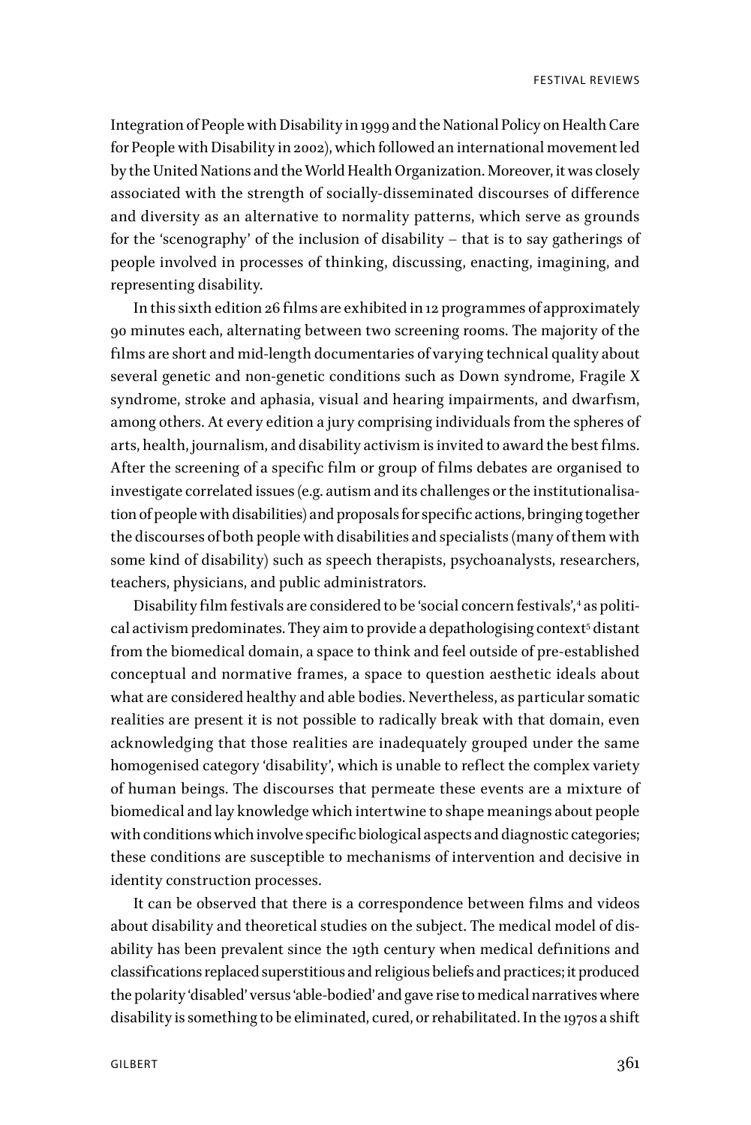Integration of People with Disability in 1999 and the National Policy on Health Care for People with Disability in 2002), which followed an international movement led by the United Nations and the World Health Organization. Moreover, it was closely associated with the strength of socially-disseminated discourses of difference and diversity as an alternative to normality patterns, which serve as grounds for the 'scenography' of the inclusion of disability – that is to say gatherings of people involved in processes of thinking, discussing, enacting, imagining, and representing disability.

In this sixth edition 26 films are exhibited in 12 programmes of approximately 90 minutes each, alternating between two screening rooms. The majority of the films are short and mid-length documentaries of varying technical quality about several genetic and non-genetic conditions such as Down syndrome, Fragile X syndrome, stroke and aphasia, visual and hearing impairments, and dwarfism, among others. At every edition a jury comprising individuals from the spheres of arts, health, journalism, and disability activism is invited to award the best films. After the screening of a specific film or group of films debates are organised to investigate correlated issues (e.g. autism and its challenges or the institutionalisation of people with disabilities) and proposals for specific actions, bringing together the discourses of both people with disabilities and specialists (many of them with some kind of disability) such as speech therapists, psychoanalysts, researchers, teachers, physicians, and public administrators.

Disability film festivals are considered to be 'social concern festivals',4 as political activism predominates. They aim to provide a depathologising context $^{\rm 5}$  distant from the biomedical domain, a space to think and feel outside of pre-established conceptual and normative frames, a space to question aesthetic ideals about what are considered healthy and able bodies. Nevertheless, as particular somatic realities are present it is not possible to radically break with that domain, even acknowledging that those realities are inadequately grouped under the same homogenised category 'disability', which is unable to reflect the complex variety of human beings. The discourses that permeate these events are a mixture of biomedical and lay knowledge which intertwine to shape meanings about people with conditions which involve specific biological aspects and diagnostic categories; these conditions are susceptible to mechanisms of intervention and decisive in identity construction processes.

It can be observed that there is a correspondence between films and videos about disability and theoretical studies on the subject. The medical model of disability has been prevalent since the 19th century when medical definitions and classifications replaced superstitious and religious beliefs and practices; it produced the polarity 'disabled' versus 'able-bodied' and gave rise to medical narratives where disability is something to be eliminated, cured, or rehabilitated. In the 1970s a shift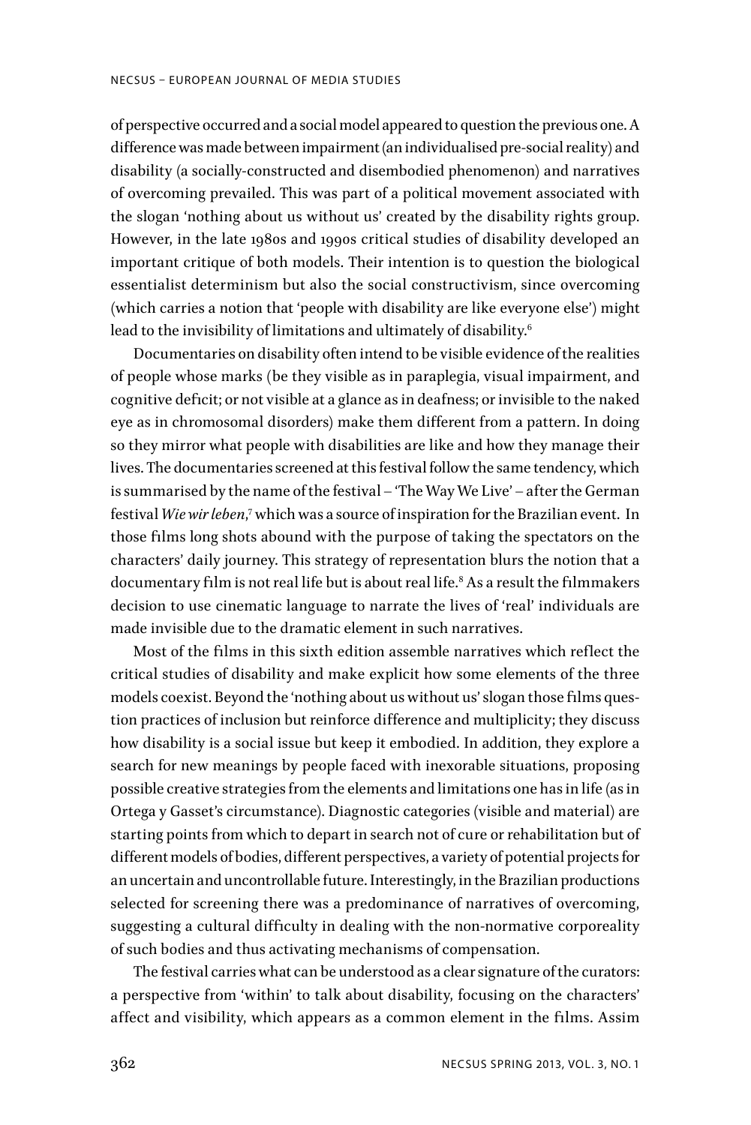of perspective occurred and a social model appeared to question the previous one. A difference was made between impairment (an individualised pre-social reality) and disability (a socially-constructed and disembodied phenomenon) and narratives of overcoming prevailed. This was part of a political movement associated with the slogan 'nothing about us without us' created by the disability rights group. However, in the late 1980s and 1990s critical studies of disability developed an important critique of both models. Their intention is to question the biological essentialist determinism but also the social constructivism, since overcoming (which carries a notion that 'people with disability are like everyone else') might lead to the invisibility of limitations and ultimately of disability.<sup>6</sup>

Documentaries on disability often intend to be visible evidence of the realities of people whose marks (be they visible as in paraplegia, visual impairment, and cognitive deficit; or not visible at a glance as in deafness; or invisible to the naked eye as in chromosomal disorders) make them different from a pattern. In doing so they mirror what people with disabilities are like and how they manage their lives. The documentaries screened at this festival follow the same tendency, which is summarised by the name of the festival – 'The Way We Live' – after the German festival *Wie wir leben*, 7 which was a source of inspiration for the Brazilian event. In those films long shots abound with the purpose of taking the spectators on the characters' daily journey. This strategy of representation blurs the notion that a documentary film is not real life but is about real life.8 As a result the filmmakers decision to use cinematic language to narrate the lives of 'real' individuals are made invisible due to the dramatic element in such narratives.

Most of the films in this sixth edition assemble narratives which reflect the critical studies of disability and make explicit how some elements of the three models coexist. Beyond the 'nothing about us without us' slogan those films question practices of inclusion but reinforce difference and multiplicity; they discuss how disability is a social issue but keep it embodied. In addition, they explore a search for new meanings by people faced with inexorable situations, proposing possible creative strategies from the elements and limitations one has in life (as in Ortega y Gasset's circumstance). Diagnostic categories (visible and material) are starting points from which to depart in search not of cure or rehabilitation but of different models of bodies, different perspectives, a variety of potential projects for an uncertain and uncontrollable future. Interestingly, in the Brazilian productions selected for screening there was a predominance of narratives of overcoming, suggesting a cultural difficulty in dealing with the non-normative corporeality of such bodies and thus activating mechanisms of compensation.

The festival carries what can be understood as a clear signature of the curators: a perspective from 'within' to talk about disability, focusing on the characters' affect and visibility, which appears as a common element in the films. Assim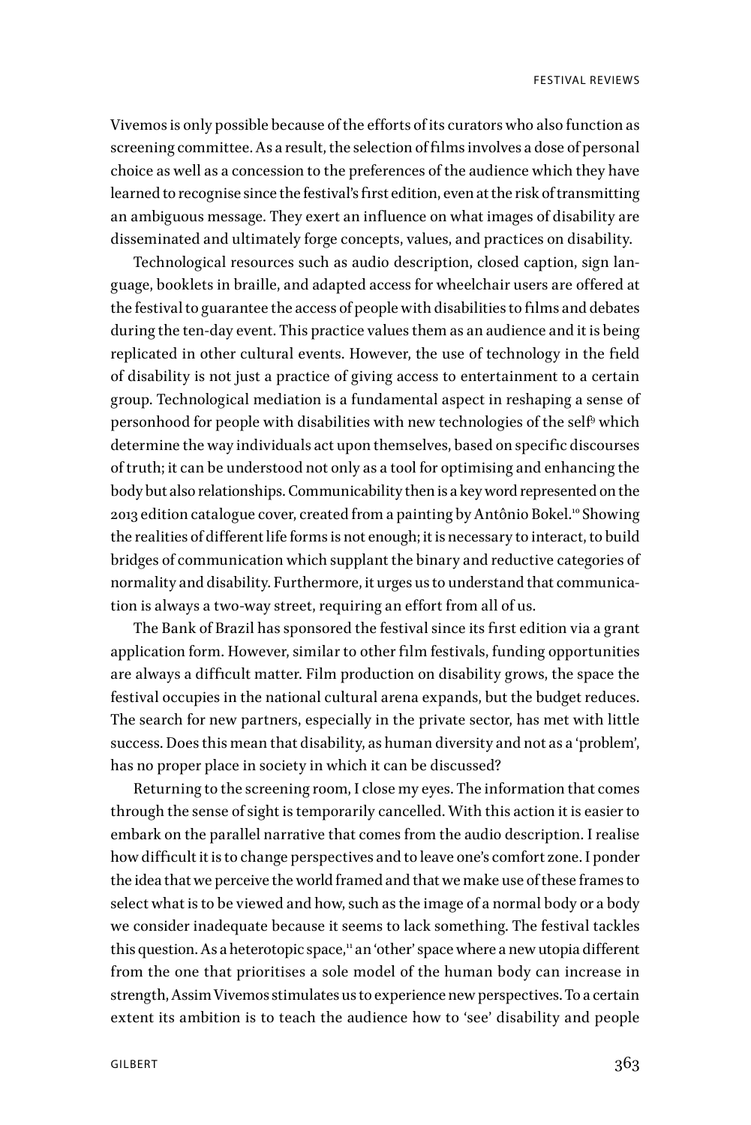Vivemos is only possible because of the efforts of its curators who also function as screening committee. As a result, the selection of films involves a dose of personal choice as well as a concession to the preferences of the audience which they have learned to recognise since the festival's first edition, even at the risk of transmitting an ambiguous message. They exert an influence on what images of disability are disseminated and ultimately forge concepts, values, and practices on disability.

Technological resources such as audio description, closed caption, sign language, booklets in braille, and adapted access for wheelchair users are offered at the festival to guarantee the access of people with disabilities to films and debates during the ten-day event. This practice values them as an audience and it is being replicated in other cultural events. However, the use of technology in the field of disability is not just a practice of giving access to entertainment to a certain group. Technological mediation is a fundamental aspect in reshaping a sense of personhood for people with disabilities with new technologies of the self $^{\circ}$  which determine the way individuals act upon themselves, based on specific discourses of truth; it can be understood not only as a tool for optimising and enhancing the body but also relationships. Communicability then is a key word represented on the 2013 edition catalogue cover, created from a painting by Antônio Bokel.<sup>10</sup> Showing the realities of different life forms is not enough; it is necessary to interact, to build bridges of communication which supplant the binary and reductive categories of normality and disability. Furthermore, it urges us to understand that communication is always a two-way street, requiring an effort from all of us.

The Bank of Brazil has sponsored the festival since its first edition via a grant application form. However, similar to other film festivals, funding opportunities are always a difficult matter. Film production on disability grows, the space the festival occupies in the national cultural arena expands, but the budget reduces. The search for new partners, especially in the private sector, has met with little success. Does this mean that disability, as human diversity and not as a 'problem', has no proper place in society in which it can be discussed?

Returning to the screening room, I close my eyes. The information that comes through the sense of sight is temporarily cancelled. With this action it is easier to embark on the parallel narrative that comes from the audio description. I realise how difficult it is to change perspectives and to leave one's comfort zone. I ponder the idea that we perceive the world framed and that we make use of these frames to select what is to be viewed and how, such as the image of a normal body or a body we consider inadequate because it seems to lack something. The festival tackles this question. As a heterotopic space,<sup>11</sup> an 'other' space where a new utopia different from the one that prioritises a sole model of the human body can increase in strength, Assim Vivemos stimulates us to experience new perspectives. To a certain extent its ambition is to teach the audience how to 'see' disability and people